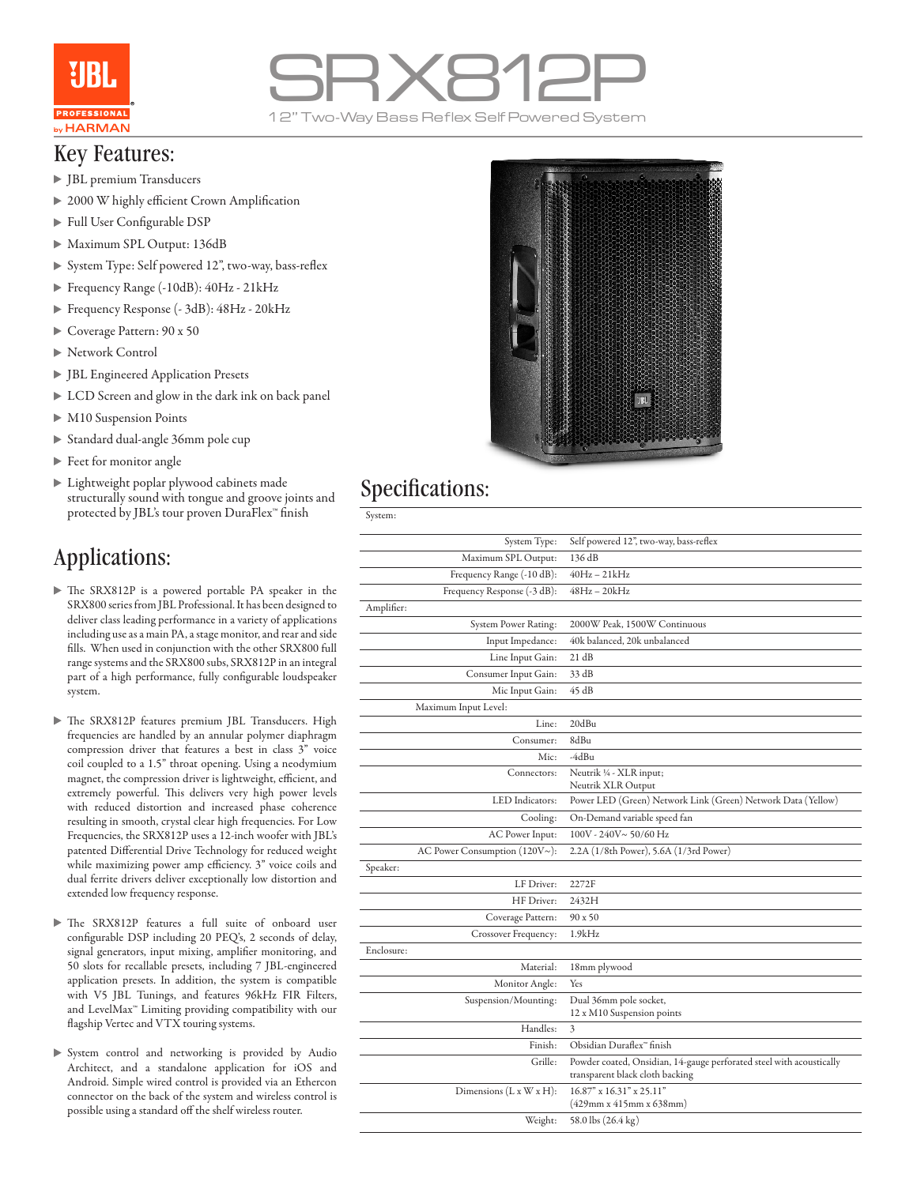

# SRX812P

#### Key Features:

- JBL premium Transducers
- ▶ 2000 W highly efficient Crown Amplification
- Full User Configurable DSP
- Maximum SPL Output: 136dB
- System Type: Self powered 12", two-way, bass-reflex
- Frequency Range (-10dB): 40Hz 21kHz
- Frequency Response (- 3dB): 48Hz 20kHz
- Coverage Pattern: 90 x 50
- ▶ Network Control
- JBL Engineered Application Presets
- LCD Screen and glow in the dark ink on back panel
- M10 Suspension Points
- Standard dual-angle 36mm pole cup
- Feet for monitor angle
- Lightweight poplar plywood cabinets made structurally sound with tongue and groove joints and protected by JBL's tour proven DuraFlex™ finish

## Applications:

- The SRX812P is a powered portable PA speaker in the SRX800 series from JBL Professional. It has been designed to deliver class leading performance in a variety of applications including use as a main PA, a stage monitor, and rear and side fills. When used in conjunction with the other SRX800 full range systems and the SRX800 subs, SRX812P in an integral part of a high performance, fully configurable loudspeaker system.
- The SRX812P features premium JBL Transducers. High frequencies are handled by an annular polymer diaphragm compression driver that features a best in class 3" voice coil coupled to a 1.5" throat opening. Using a neodymium magnet, the compression driver is lightweight, efficient, and extremely powerful. This delivers very high power levels with reduced distortion and increased phase coherence resulting in smooth, crystal clear high frequencies. For Low Frequencies, the SRX812P uses a 12-inch woofer with JBL's patented Differential Drive Technology for reduced weight while maximizing power amp efficiency. 3" voice coils and dual ferrite drivers deliver exceptionally low distortion and extended low frequency response.
- The SRX812P features a full suite of onboard user configurable DSP including 20 PEQ's, 2 seconds of delay, signal generators, input mixing, amplifier monitoring, and 50 slots for recallable presets, including 7 JBL-engineered application presets. In addition, the system is compatible with V5 JBL Tunings, and features 96kHz FIR Filters, and LevelMax™ Limiting providing compatibility with our flagship Vertec and VTX touring systems.
- System control and networking is provided by Audio Architect, and a standalone application for iOS and Android. Simple wired control is provided via an Ethercon connector on the back of the system and wireless control is possible using a standard off the shelf wireless router.



### Specifications:

| System:                             |                                                                                                         |
|-------------------------------------|---------------------------------------------------------------------------------------------------------|
| System Type:                        | Self powered 12", two-way, bass-reflex                                                                  |
| Maximum SPL Output:                 | 136 dB                                                                                                  |
| Frequency Range (-10 dB):           | 40Hz – 21kHz                                                                                            |
| Frequency Response (-3 dB):         | 48Hz – 20kHz                                                                                            |
| Amplifier:                          |                                                                                                         |
| System Power Rating:                | 2000W Peak, 1500W Continuous                                                                            |
| Input Impedance:                    | 40k balanced, 20k unbalanced                                                                            |
| Line Input Gain:                    | 21 dB                                                                                                   |
| Consumer Input Gain:                | 33 dB                                                                                                   |
| Mic Input Gain:                     | 45 dB                                                                                                   |
| Maximum Input Level:                |                                                                                                         |
| Line:                               | 20dBu                                                                                                   |
| Consumer:                           | 8dBu                                                                                                    |
| Mic:                                | -4dBu                                                                                                   |
| Connectors:                         | Neutrik 1/4 - XLR input;<br>Neutrik XLR Output                                                          |
| LED Indicators:                     | Power LED (Green) Network Link (Green) Network Data (Yellow)                                            |
| Cooling:                            | On-Demand variable speed fan                                                                            |
| AC Power Input:                     | 100V - 240V~50/60 Hz                                                                                    |
| AC Power Consumption $(120V\sim)$ : | 2.2A (1/8th Power), 5.6A (1/3rd Power)                                                                  |
| Speaker:                            |                                                                                                         |
| LF Driver:                          | 2272F                                                                                                   |
| HF Driver:                          | 2432H                                                                                                   |
| Coverage Pattern:                   | 90 x 50                                                                                                 |
| Crossover Frequency:                | 1.9kHz                                                                                                  |
| Enclosure:                          |                                                                                                         |
| Material:                           | 18mm plywood                                                                                            |
| Monitor Angle:                      | Yes                                                                                                     |
| Suspension/Mounting:                | Dual 36mm pole socket,<br>12 x M10 Suspension points                                                    |
| Handles:                            | 3                                                                                                       |
| Finish:                             | Obsidian Duraflex <sup>®</sup> finish                                                                   |
| Grille:                             | Powder coated, Onsidian, 14-gauge perforated steel with acoustically<br>transparent black cloth backing |
| Dimensions $(L x W x H)$ :          | 16.87" x 16.31" x 25.11"<br>$(429$ mm x 415mm x 638mm)                                                  |
| Weight:                             | 58.0 lbs (26.4 kg)                                                                                      |
|                                     |                                                                                                         |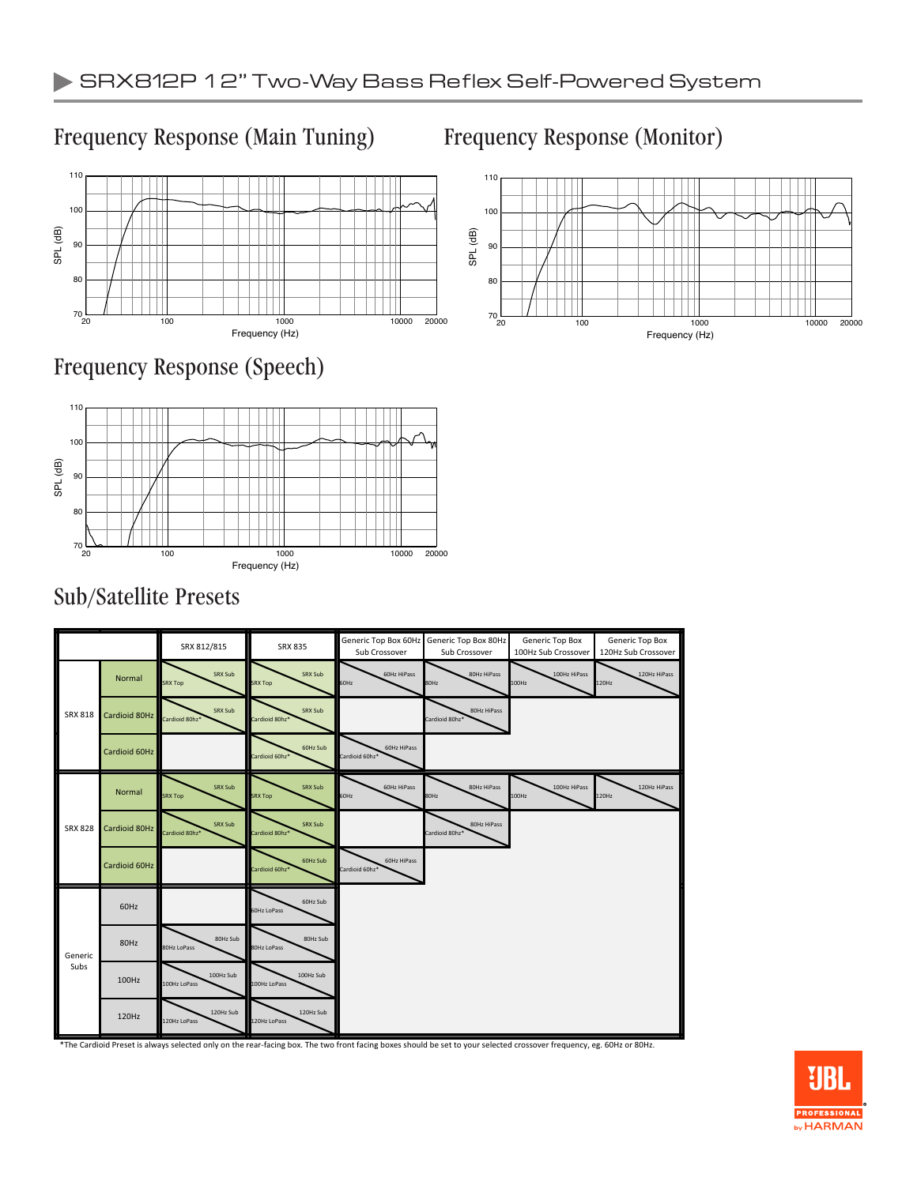### Frequency Response (Main Tuning) Frequency Response (Monitor)







## Sub/Satellite Presets



\*The Cardioid Preset is always selected only on the rear-facing box. The two front facing boxes should be set to your selected crossover frequency, eg. 60Hz or 80Hz.



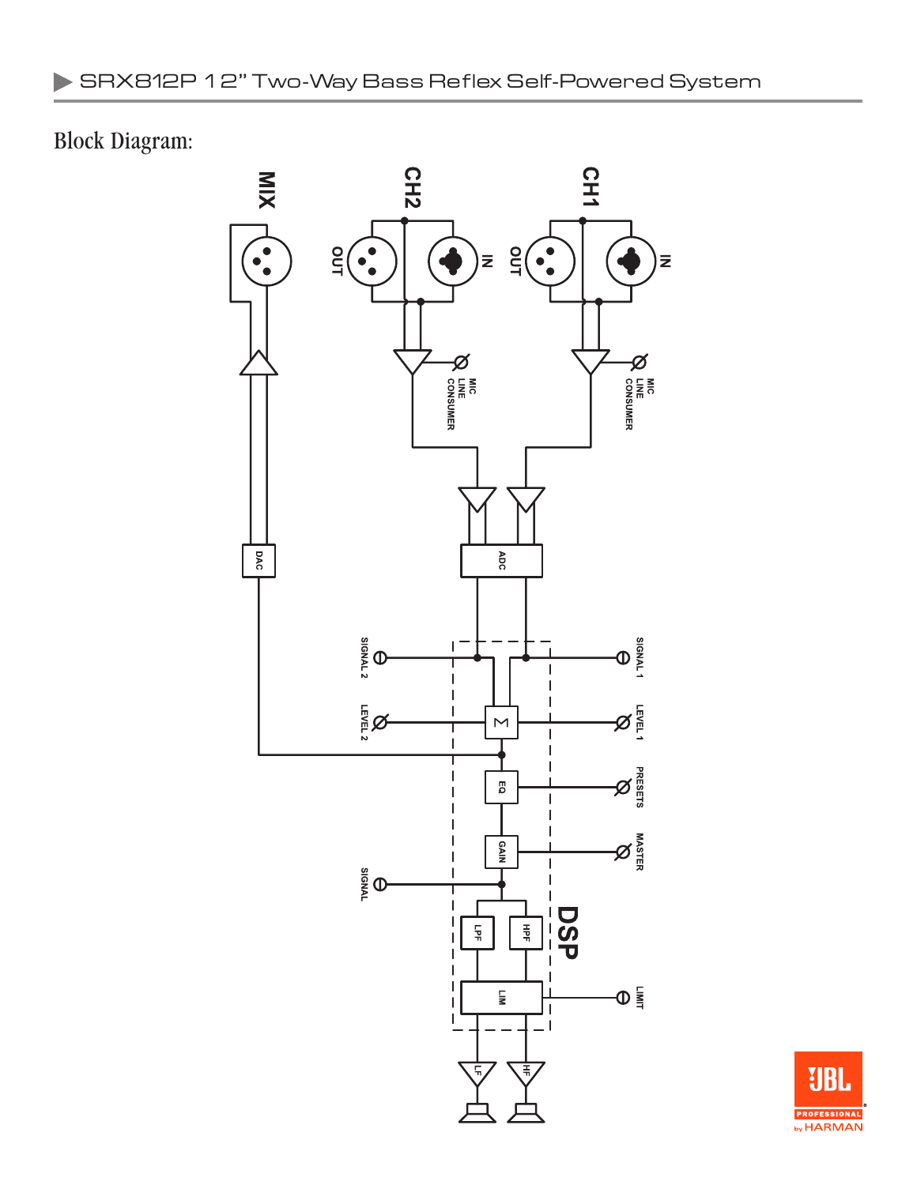# Block Diagram: